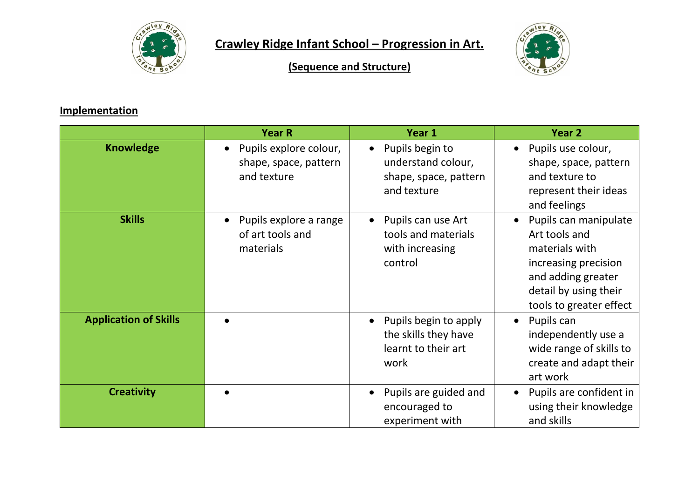

## **Crawley Ridge Infant School – Progression in Art.**



**(Sequence and Structure)**

## **Implementation**

|                              | <b>Year R</b>                                                               | Year 1                                                                                     | Year <sub>2</sub>                                                                                                                                          |
|------------------------------|-----------------------------------------------------------------------------|--------------------------------------------------------------------------------------------|------------------------------------------------------------------------------------------------------------------------------------------------------------|
| <b>Knowledge</b>             | Pupils explore colour,<br>$\bullet$<br>shape, space, pattern<br>and texture | Pupils begin to<br>$\bullet$<br>understand colour,<br>shape, space, pattern<br>and texture | Pupils use colour,<br>shape, space, pattern<br>and texture to<br>represent their ideas<br>and feelings                                                     |
| <b>Skills</b>                | Pupils explore a range<br>$\bullet$<br>of art tools and<br>materials        | Pupils can use Art<br>tools and materials<br>with increasing<br>control                    | Pupils can manipulate<br>Art tools and<br>materials with<br>increasing precision<br>and adding greater<br>detail by using their<br>tools to greater effect |
| <b>Application of Skills</b> |                                                                             | Pupils begin to apply<br>the skills they have<br>learnt to their art<br>work               | Pupils can<br>$\bullet$<br>independently use a<br>wide range of skills to<br>create and adapt their<br>art work                                            |
| <b>Creativity</b>            |                                                                             | Pupils are guided and<br>encouraged to<br>experiment with                                  | Pupils are confident in<br>using their knowledge<br>and skills                                                                                             |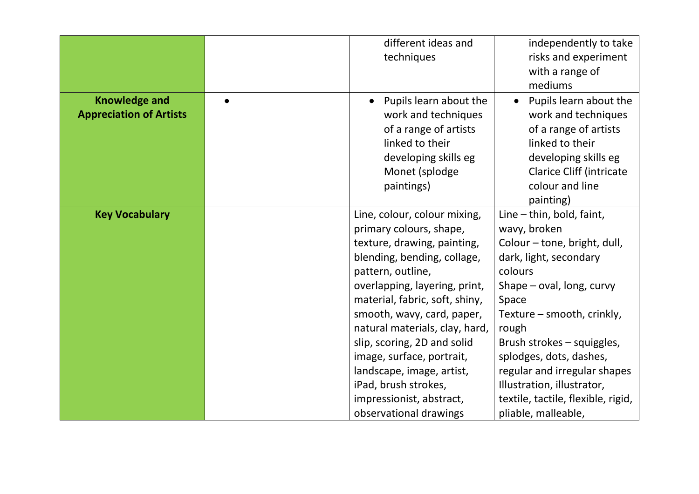|                                                        |           | different ideas and                                                                                                                               | independently to take                                                                                                                                                                |
|--------------------------------------------------------|-----------|---------------------------------------------------------------------------------------------------------------------------------------------------|--------------------------------------------------------------------------------------------------------------------------------------------------------------------------------------|
|                                                        |           | techniques                                                                                                                                        | risks and experiment                                                                                                                                                                 |
|                                                        |           |                                                                                                                                                   | with a range of                                                                                                                                                                      |
|                                                        |           |                                                                                                                                                   | mediums                                                                                                                                                                              |
| <b>Knowledge and</b><br><b>Appreciation of Artists</b> | $\bullet$ | Pupils learn about the<br>work and techniques<br>of a range of artists<br>linked to their<br>developing skills eg<br>Monet (splodge<br>paintings) | Pupils learn about the<br>$\bullet$<br>work and techniques<br>of a range of artists<br>linked to their<br>developing skills eg<br><b>Clarice Cliff (intricate</b><br>colour and line |
|                                                        |           |                                                                                                                                                   | painting)                                                                                                                                                                            |
| <b>Key Vocabulary</b>                                  |           | Line, colour, colour mixing,                                                                                                                      | Line $-$ thin, bold, faint,                                                                                                                                                          |
|                                                        |           | primary colours, shape,                                                                                                                           | wavy, broken                                                                                                                                                                         |
|                                                        |           | texture, drawing, painting,                                                                                                                       | Colour - tone, bright, dull,                                                                                                                                                         |
|                                                        |           | blending, bending, collage,                                                                                                                       | dark, light, secondary                                                                                                                                                               |
|                                                        |           | pattern, outline,                                                                                                                                 | colours                                                                                                                                                                              |
|                                                        |           | overlapping, layering, print,                                                                                                                     | Shape $-$ oval, long, curvy                                                                                                                                                          |
|                                                        |           | material, fabric, soft, shiny,                                                                                                                    | Space                                                                                                                                                                                |
|                                                        |           | smooth, wavy, card, paper,                                                                                                                        | Texture – smooth, crinkly,                                                                                                                                                           |
|                                                        |           | natural materials, clay, hard,                                                                                                                    | rough                                                                                                                                                                                |
|                                                        |           | slip, scoring, 2D and solid                                                                                                                       | Brush strokes – squiggles,                                                                                                                                                           |
|                                                        |           | image, surface, portrait,                                                                                                                         | splodges, dots, dashes,                                                                                                                                                              |
|                                                        |           | landscape, image, artist,                                                                                                                         | regular and irregular shapes                                                                                                                                                         |
|                                                        |           | iPad, brush strokes,                                                                                                                              | Illustration, illustrator,                                                                                                                                                           |
|                                                        |           | impressionist, abstract,                                                                                                                          | textile, tactile, flexible, rigid,                                                                                                                                                   |
|                                                        |           | observational drawings                                                                                                                            | pliable, malleable,                                                                                                                                                                  |